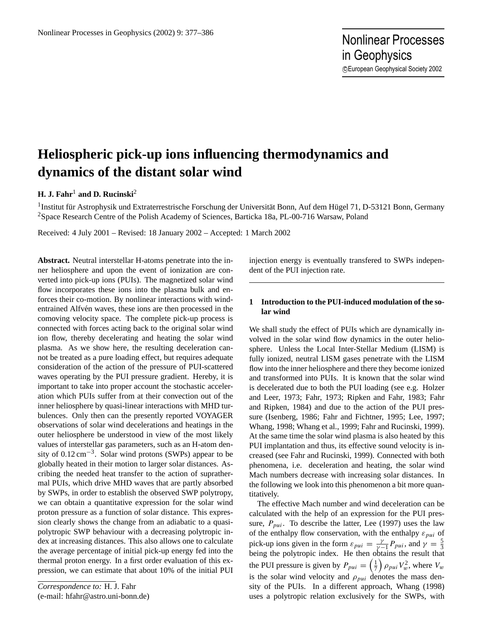# **Heliospheric pick-up ions influencing thermodynamics and dynamics of the distant solar wind**

## **H. J. Fahr**<sup>1</sup> **and D. Rucinski**<sup>2</sup>

<sup>1</sup>Institut für Astrophysik und Extraterrestrische Forschung der Universität Bonn, Auf dem Hügel 71, D-53121 Bonn, Germany <sup>2</sup>Space Research Centre of the Polish Academy of Sciences, Barticka 18a, PL-00-716 Warsaw, Poland

Received: 4 July 2001 – Revised: 18 January 2002 – Accepted: 1 March 2002

**Abstract.** Neutral interstellar H-atoms penetrate into the inner heliosphere and upon the event of ionization are converted into pick-up ions (PUIs). The magnetized solar wind flow incorporates these ions into the plasma bulk and enforces their co-motion. By nonlinear interactions with windentrained Alfvén waves, these ions are then processed in the comoving velocity space. The complete pick-up process is connected with forces acting back to the original solar wind ion flow, thereby decelerating and heating the solar wind plasma. As we show here, the resulting deceleration cannot be treated as a pure loading effect, but requires adequate consideration of the action of the pressure of PUI-scattered waves operating by the PUI pressure gradient. Hereby, it is important to take into proper account the stochastic acceleration which PUIs suffer from at their convection out of the inner heliosphere by quasi-linear interactions with MHD turbulences. Only then can the presently reported VOYAGER observations of solar wind decelerations and heatings in the outer heliosphere be understood in view of the most likely values of interstellar gas parameters, such as an H-atom density of  $0.12 \text{ cm}^{-3}$ . Solar wind protons (SWPs) appear to be globally heated in their motion to larger solar distances. Ascribing the needed heat transfer to the action of suprathermal PUIs, which drive MHD waves that are partly absorbed by SWPs, in order to establish the observed SWP polytropy, we can obtain a quantitative expression for the solar wind proton pressure as a function of solar distance. This expression clearly shows the change from an adiabatic to a quasipolytropic SWP behaviour with a decreasing polytropic index at increasing distances. This also allows one to calculate the average percentage of initial pick-up energy fed into the thermal proton energy. In a first order evaluation of this expression, we can estimate that about 10% of the initial PUI

*Correspondence to:* H. J. Fahr (e-mail: hfahr@astro.uni-bonn.de) injection energy is eventually transfered to SWPs independent of the PUI injection rate.

### **1 Introduction to the PUI-induced modulation of the solar wind**

We shall study the effect of PUIs which are dynamically involved in the solar wind flow dynamics in the outer heliosphere. Unless the Local Inter-Stellar Medium (LISM) is fully ionized, neutral LISM gases penetrate with the LISM flow into the inner heliosphere and there they become ionized and transformed into PUIs. It is known that the solar wind is decelerated due to both the PUI loading (see e.g. Holzer and Leer, 1973; Fahr, 1973; Ripken and Fahr, 1983; Fahr and Ripken, 1984) and due to the action of the PUI pressure (Isenberg, 1986; Fahr and Fichtner, 1995; Lee, 1997; Whang, 1998; Whang et al., 1999; Fahr and Rucinski, 1999). At the same time the solar wind plasma is also heated by this PUI implantation and thus, its effective sound velocity is increased (see Fahr and Rucinski, 1999). Connected with both phenomena, i.e. deceleration and heating, the solar wind Mach numbers decrease with increasing solar distances. In the following we look into this phenomenon a bit more quantitatively.

The effective Mach number and wind deceleration can be calculated with the help of an expression for the PUI pressure,  $P_{pui}$ . To describe the latter, Lee (1997) uses the law of the enthalpy flow conservation, with the enthalpy  $\varepsilon_{pui}$  of pick-up ions given in the form  $\varepsilon_{pui} = \frac{\gamma}{\gamma - 1} P_{pui}$ , and  $\gamma = \frac{5}{3}$ <br>being the polytropic index. He then obtains the result that the PUI pressure is given by  $P_{pui} = \left(\frac{1}{7}\right) \rho_{pui} V_w^2$ , where  $V_w$ is the solar wind velocity and  $\rho_{pui}$  denotes the mass density of the PUIs. In a different approach, Whang (1998) uses a polytropic relation exclusively for the SWPs, with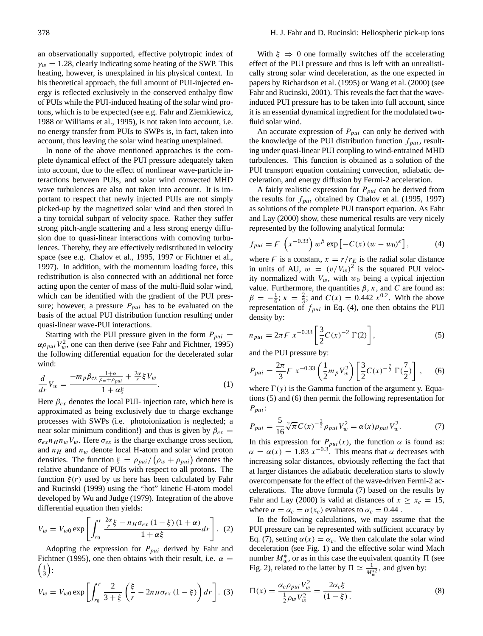an observationally supported, effective polytropic index of  $\gamma_w = 1.28$ , clearly indicating some heating of the SWP. This heating, however, is unexplained in his physical context. In his theoretical approach, the full amount of PUI-injected energy is reflected exclusively in the conserved enthalpy flow of PUIs while the PUI-induced heating of the solar wind protons, which is to be expected (see e.g. Fahr and Ziemkiewicz, 1988 or Williams et al., 1995), is not taken into account, i.e. no energy transfer from PUIs to SWPs is, in fact, taken into account, thus leaving the solar wind heating unexplained.

In none of the above mentioned approaches is the complete dynamical effect of the PUI pressure adequately taken into account, due to the effect of nonlinear wave-particle interactions between PUIs, and solar wind convected MHD wave turbulences are also not taken into account. It is important to respect that newly injected PUIs are not simply picked-up by the magnetized solar wind and then stored in a tiny toroidal subpart of velocity space. Rather they suffer strong pitch-angle scattering and a less strong energy diffusion due to quasi-linear interactions with comoving turbulences. Thereby, they are effectively redistributed in velocity space (see e.g. Chalov et al., 1995, 1997 or Fichtner et al., 1997). In addition, with the momentum loading force, this redistribution is also connected with an additional net force acting upon the center of mass of the multi-fluid solar wind, which can be identified with the gradient of the PUI pressure; however, a pressure  $P_{pui}$  has to be evaluated on the basis of the actual PUI distribution function resulting under quasi-linear wave-PUI interactions.

Starting with the PUI pressure given in the form  $P_{pui}$  =  $\alpha \rho_{pui} V_w^2$ , one can then derive (see Fahr and Fichtner, 1995) the following differential equation for the decelerated solar wind:

$$
\frac{d}{dr}V_w = \frac{-m_p \beta_{ex} \frac{1+\alpha}{\rho_w + \rho_{pui}} + \frac{2\alpha}{r} \xi V_w}{1 + \alpha \xi}.
$$
\n(1)

Here  $\beta_{ex}$  denotes the local PUI- injection rate, which here is approximated as being exclusively due to charge exchange processes with SWPs (i.e. photoionization is neglected; a near solar minimum condition!) and thus is given by  $\beta_{ex}$  =  $\sigma_{ex} n_H n_w V_w$ . Here  $\sigma_{ex}$  is the charge exchange cross section, and  $n_H$  and  $n_w$  denote local H-atom and solar wind proton densities. The function  $\xi = \rho_{pui} / (\rho_w + \rho_{pui})$  denotes the relative abundance of PUIs with respect to all protons. The function  $\xi(r)$  used by us here has been calculated by Fahr and Rucinski (1999) using the "hot" kinetic H-atom model developed by Wu and Judge (1979). Integration of the above differential equation then yields:

$$
V_w = V_{w0} \exp\left[\int_{r_0}^r \frac{\frac{2\alpha}{r}\xi - n_H \sigma_{ex} (1-\xi) (1+\alpha)}{1+\alpha\xi} dr\right]. \tag{2}
$$

Adopting the expression for  $P_{pui}$  derived by Fahr and  $\left(\frac{1}{3}\right)$ : Fichtner (1995), one then obtains with their result, i.e.  $\alpha =$ 

$$
V_w = V_{w0} \exp\left[\int_{r_0}^r \frac{2}{3+\xi} \left(\frac{\xi}{r} - 2n_H \sigma_{ex} (1-\xi)\right) dr\right].
$$
 (3)

With  $\xi \Rightarrow 0$  one formally switches off the accelerating effect of the PUI pressure and thus is left with an unrealistically strong solar wind deceleration, as the one expected in papers by Richardson et al. (1995) or Wang et al. (2000) (see Fahr and Rucinski, 2001). This reveals the fact that the waveinduced PUI pressure has to be taken into full account, since it is an essential dynamical ingredient for the modulated twofluid solar wind.

An accurate expression of  $P_{pui}$  can only be derived with the knowledge of the PUI distribution function  $f_{\text{pui}}$ , resulting under quasi-linear PUI coupling to wind-entrained MHD turbulences. This function is obtained as a solution of the PUI transport equation containing convection, adiabatic deceleration, and energy diffusion by Fermi-2 acceleration.

A fairly realistic expression for  $P_{pui}$  can be derived from the results for  $f_{pui}$  obtained by Chalov et al. (1995, 1997) as solutions of the complete PUI transport equation. As Fahr and Lay (2000) show, these numerical results are very nicely represented by the following analytical formula:

$$
f_{pui} = F\left(x^{-0.33}\right) w^{\beta} \exp\left[-C(x) (w - w_0)^{\kappa}\right],\tag{4}
$$

where F is a constant,  $x = r/r_E$  is the radial solar distance in units of AU,  $w = (v/V_w)^2$  is the squared PUI velocity normalized with  $V_w$ , with  $w_0$  being a typical injection value. Furthermore, the quantities  $\beta$ ,  $\kappa$ , and C are found as:  $\beta = -\frac{1}{6}$ ;  $\kappa = \frac{2}{3}$ ; and  $C(x) = 0.442 x^{0.2}$ . With the above representation of  $f_{pui}$  in Eq. (4), one then obtains the PUI density by:

$$
n_{pui} = 2\pi F \ x^{-0.33} \left[ \frac{3}{2} C(x)^{-2} \Gamma(2) \right],\tag{5}
$$

and the PUI pressure by:

$$
P_{pui} = \frac{2\pi}{3} F x^{-0.33} \left(\frac{1}{2} m_p V_w^2\right) \left[\frac{3}{2} C(x)^{-\frac{7}{2}} \Gamma(\frac{7}{2})\right],\tag{6}
$$

where  $\Gamma(y)$  is the Gamma function of the argument y. Equations (5) and (6) then permit the following representation for  $P_{pui}$ :

$$
P_{pui} = \frac{5}{16} \sqrt[2]{\pi} C(x)^{-\frac{3}{2}} \rho_{pui} V_w^2 = \alpha(x) \rho_{pui} V_w^2.
$$
 (7)

In this expression for  $P_{pui}(x)$ , the function  $\alpha$  is found as:  $\alpha = \alpha(x) = 1.83 x^{-0.3}$ . This means that  $\alpha$  decreases with increasing solar distances, obviously reflecting the fact that at larger distances the adiabatic deceleration starts to slowly overcompensate for the effect of the wave-driven Fermi-2 accelerations. The above formula (7) based on the results by Fahr and Lay (2000) is valid at distances of  $x \ge x_c = 15$ , where  $\alpha = \alpha_c = \alpha(x_c)$  evaluates to  $\alpha_c = 0.44$ .

In the following calculations, we may assume that the PUI pressure can be represented with sufficient accuracy by Eq. (7), setting  $\alpha(x) = \alpha_c$ . We then calculate the solar wind deceleration (see Fig. 1) and the effective solar wind Mach number  $M_w^*$ , or as in this case the equivalent quantity  $\Pi$  (see Fig. 2), related to the latter by  $\Pi \simeq \frac{1}{M_w^{*2}}$ , and given by:

$$
\Pi(x) = \frac{\alpha_c \rho_{pui} V_w^2}{\frac{1}{2} \rho_w V_w^2} = \frac{2\alpha_c \xi}{(1 - \xi)}.
$$
\n(8)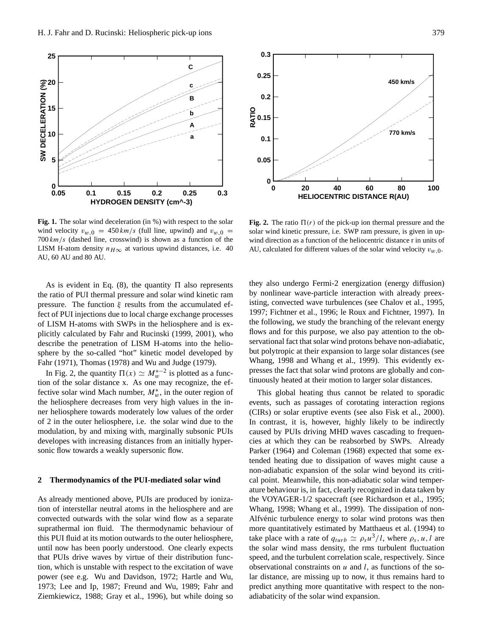

**Fig. 1.** The solar wind deceleration (in %) with respect to the solar wind velocity  $v_{w,0} = 450 \, \text{km/s}$  (full line, upwind) and  $v_{w,0} =$  $700 \, km/s$  (dashed line, crosswind) is shown as a function of the LISM H-atom density  $n_{H\infty}$  at various upwind distances, i.e. 40 AU, 60 AU and 80 AU.

As is evident in Eq. (8), the quantity  $\Pi$  also represents the ratio of PUI thermal pressure and solar wind kinetic ram pressure. The function  $\xi$  results from the accumulated effect of PUI injections due to local charge exchange processes of LISM H-atoms with SWPs in the heliosphere and is explicitly calculated by Fahr and Rucinski (1999, 2001), who describe the penetration of LISM H-atoms into the heliosphere by the so-called "hot" kinetic model developed by Fahr (1971), Thomas (1978) and Wu and Judge (1979).

In Fig. 2, the quantity  $\Pi(x) \simeq M_w^{*-2}$  is plotted as a function of the solar distance x. As one may recognize, the effective solar wind Mach number,  $M_w^*$ , in the outer region of the heliosphere decreases from very high values in the inner heliosphere towards moderately low values of the order of 2 in the outer heliosphere, i.e. the solar wind due to the modulation, by and mixing with, marginally subsonic PUIs developes with increasing distances from an initially hypersonic flow towards a weakly supersonic flow.

#### **2 Thermodynamics of the PUI-mediated solar wind**

As already mentioned above, PUIs are produced by ionization of interstellar neutral atoms in the heliosphere and are convected outwards with the solar wind flow as a separate suprathermal ion fluid. The thermodynamic behaviour of this PUI fluid at its motion outwards to the outer heliosphere, until now has been poorly understood. One clearly expects that PUIs drive waves by virtue of their distribution function, which is unstable with respect to the excitation of wave power (see e.g. Wu and Davidson, 1972; Hartle and Wu, 1973; Lee and Ip, 1987; Freund and Wu, 1989; Fahr and Ziemkiewicz, 1988; Gray et al., 1996), but while doing so



**Fig. 2.** The ratio  $\Pi(r)$  of the pick-up ion thermal pressure and the solar wind kinetic pressure, i.e. SWP ram pressure, is given in upwind direction as a function of the heliocentric distance r in units of AU, calculated for different values of the solar wind velocity  $v_{w,0}$ .

they also undergo Fermi-2 energization (energy diffusion) by nonlinear wave-particle interaction with already preexisting, convected wave turbulences (see Chalov et al., 1995, 1997; Fichtner et al., 1996; le Roux and Fichtner, 1997). In the following, we study the branching of the relevant energy flows and for this purpose, we also pay attention to the observational fact that solar wind protons behave non-adiabatic, but polytropic at their expansion to large solar distances (see Whang, 1998 and Whang et al., 1999). This evidently expresses the fact that solar wind protons are globally and continuously heated at their motion to larger solar distances.

This global heating thus cannot be related to sporadic events, such as passages of corotating interaction regions (CIRs) or solar eruptive events (see also Fisk et al., 2000). In contrast, it is, however, highly likely to be indirectly caused by PUIs driving MHD waves cascading to frequencies at which they can be reabsorbed by SWPs. Already Parker (1964) and Coleman (1968) expected that some extended heating due to dissipation of waves might cause a non-adiabatic expansion of the solar wind beyond its critical point. Meanwhile, this non-adiabatic solar wind temperature behaviour is, in fact, clearly recognized in data taken by the VOYAGER-1/2 spacecraft (see Richardson et al., 1995; Whang, 1998; Whang et al., 1999). The dissipation of non-Alfvénic turbulence energy to solar wind protons was then more quantitatively estimated by Matthaeus et al. (1994) to take place with a rate of  $q_{turb} \simeq \rho_s u^3/l$ , where  $\rho_s$ , u, l are the solar wind mass density, the rms turbulent fluctuation speed, and the turbulent correlation scale, respectively. Since observational constraints on  $u$  and  $l$ , as functions of the solar distance, are missing up to now, it thus remains hard to predict anything more quantitative with respect to the nonadiabaticity of the solar wind expansion.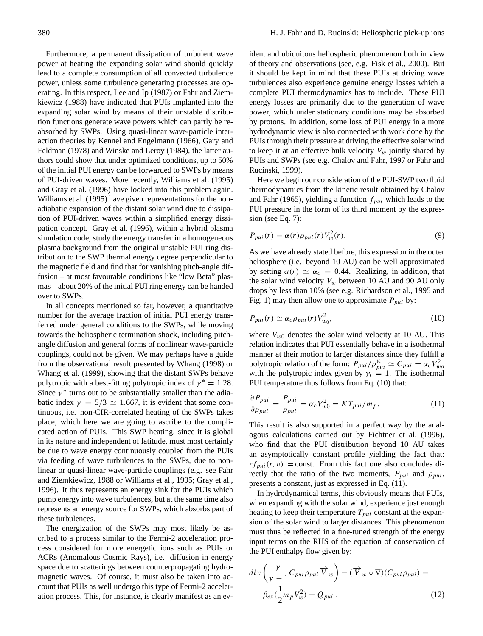Furthermore, a permanent dissipation of turbulent wave power at heating the expanding solar wind should quickly lead to a complete consumption of all convected turbulence power, unless some turbulence generating processes are operating. In this respect, Lee and Ip (1987) or Fahr and Ziemkiewicz (1988) have indicated that PUIs implanted into the expanding solar wind by means of their unstable distribution functions generate wave powers which can partly be reabsorbed by SWPs. Using quasi-linear wave-particle interaction theories by Kennel and Engelmann (1966), Gary and Feldman (1978) and Winske and Leroy (1984), the latter authors could show that under optimized conditions, up to 50% of the initial PUI energy can be forwarded to SWPs by means of PUI-driven waves. More recently, Williams et al. (1995) and Gray et al. (1996) have looked into this problem again. Williams et al. (1995) have given representations for the nonadiabatic expansion of the distant solar wind due to dissipation of PUI-driven waves within a simplified energy dissipation concept. Gray et al. (1996), within a hybrid plasma simulation code, study the energy transfer in a homogeneous plasma background from the original unstable PUI ring distribution to the SWP thermal energy degree perpendicular to the magnetic field and find that for vanishing pitch-angle diffusion – at most favourable conditions like "low Beta" plasmas – about 20% of the initial PUI ring energy can be handed over to SWPs.

In all concepts mentioned so far, however, a quantitative number for the average fraction of initial PUI energy transferred under general conditions to the SWPs, while moving towards the heliospheric termination shock, including pitchangle diffusion and general forms of nonlinear wave-particle couplings, could not be given. We may perhaps have a guide from the observational result presented by Whang (1998) or Whang et al. (1999), showing that the distant SWPs behave polytropic with a best-fitting polytropic index of  $\gamma^* = 1.28$ . Since  $\gamma^*$  turns out to be substantially smaller than the adiabatic index  $\gamma = 5/3 \simeq 1.667$ , it is evident that some continuous, i.e. non-CIR-correlated heating of the SWPs takes place, which here we are going to ascribe to the complicated action of PUIs. This SWP heating, since it is global in its nature and independent of latitude, must most certainly be due to wave energy continuously coupled from the PUIs via feeding of wave turbulences to the SWPs, due to nonlinear or quasi-linear wave-particle couplings (e.g. see Fahr and Ziemkiewicz, 1988 or Williams et al., 1995; Gray et al., 1996). It thus represents an energy sink for the PUIs which pump energy into wave turbulences, but at the same time also represents an energy source for SWPs, which absorbs part of these turbulences.

The energization of the SWPs may most likely be ascribed to a process similar to the Fermi-2 acceleration process considered for more energetic ions such as PUIs or ACRs (Anomalous Cosmic Rays), i.e. diffusion in energy space due to scatterings between counterpropagating hydromagnetic waves. Of course, it must also be taken into account that PUIs as well undergo this type of Fermi-2 acceleration process. This, for instance, is clearly manifest as an evident and ubiquitous heliospheric phenomenon both in view of theory and observations (see, e.g. Fisk et al., 2000). But it should be kept in mind that these PUIs at driving wave turbulences also experience genuine energy losses which a complete PUI thermodynamics has to include. These PUI energy losses are primarily due to the generation of wave power, which under stationary conditions may be absorbed by protons. In addition, some loss of PUI energy in a more hydrodynamic view is also connected with work done by the PUIs through their pressure at driving the effective solar wind to keep it at an effective bulk velocity  $V_w$  jointly shared by PUIs and SWPs (see e.g. Chalov and Fahr, 1997 or Fahr and Rucinski, 1999).

Here we begin our consideration of the PUI-SWP two fluid thermodynamics from the kinetic result obtained by Chalov and Fahr (1965), yielding a function  $f_{pui}$  which leads to the PUI pressure in the form of its third moment by the expression (see Eq. 7):

$$
P_{pui}(r) = \alpha(r)\rho_{pui}(r)V_w^2(r).
$$
\n(9)

As we have already stated before, this expression in the outer heliosphere (i.e. beyond 10 AU) can be well approximated by setting  $\alpha(r) \simeq \alpha_c = 0.44$ . Realizing, in addition, that the solar wind velocity  $V_w$  between 10 AU and 90 AU only drops by less than 10% (see e.g. Richardson et al., 1995 and Fig. 1) may then allow one to approximate  $P_{pui}$  by:

$$
P_{pui}(r) \simeq \alpha_c \rho_{pui}(r) V_{w_0}^2,\tag{10}
$$

where  $V_{w0}$  denotes the solar wind velocity at 10 AU. This relation indicates that PUI essentially behave in a isothermal manner at their motion to larger distances since they fulfill a polytropic relation of the form:  $P_{pui}/\rho_{pui}^{y_i} \simeq C_{pui} = \alpha_c V_{wo}^2$ with the polytropic index given by  $\gamma_i = 1$ . The isothermal PUI temperature thus follows from Eq. (10) that:

$$
\frac{\partial P_{pui}}{\partial \rho_{pui}} = \frac{P_{pui}}{\rho_{pui}} = \alpha_c V_{w0}^2 = K T_{pui}/m_p.
$$
 (11)

This result is also supported in a perfect way by the analogous calculations carried out by Fichtner et al. (1996), who find that the PUI distribution beyond 10 AU takes an asymptotically constant profile yielding the fact that:  $rf<sub>pui</sub>(r, v) = \text{const.}$  From this fact one also concludes directly that the ratio of the two moments,  $P_{pui}$  and  $\rho_{pui}$ , presents a constant, just as expressed in Eq. (11).

In hydrodynamical terms, this obviously means that PUIs, when expanding with the solar wind, experience just enough heating to keep their temperature  $T_{pui}$  constant at the expansion of the solar wind to larger distances. This phenomenon must thus be reflected in a fine-tuned strength of the energy input terms on the RHS of the equation of conservation of the PUI enthalpy flow given by:

$$
div\left(\frac{\gamma}{\gamma-1}C_{pui}\rho_{pui}\overrightarrow{V}_w\right)-(\overrightarrow{V}_w\circ\nabla)(C_{pui}\rho_{pui})=\beta_{ex}(\frac{1}{2}m_pV_w^2)+Q_{pui},
$$
\n(12)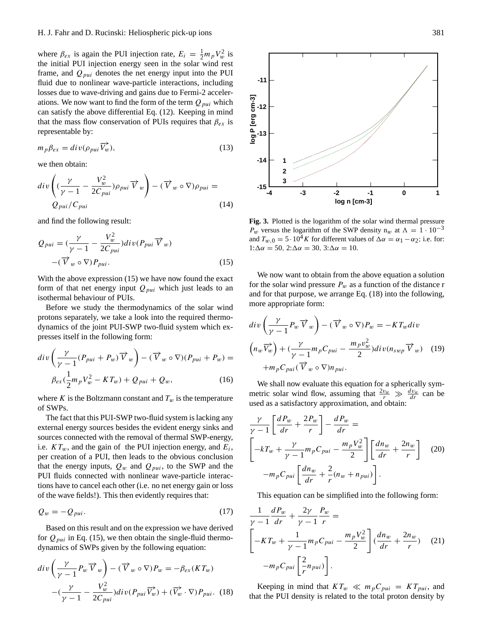where  $\beta_{ex}$  is again the PUI injection rate,  $E_i = \frac{1}{2} m_p V_w^2$  is the initial PUI injection energy seen in the solar wind rest frame, and  $Q_{pui}$  denotes the net energy input into the PUI fluid due to nonlinear wave-particle interactions, including losses due to wave-driving and gains due to Fermi-2 accelerations. We now want to find the form of the term  $Q_{pui}$  which can satisfy the above differential Eq. (12). Keeping in mind that the mass flow conservation of PUIs requires that  $\beta_{ex}$  is representable by:

$$
m_p \beta_{ex} = \text{div}(\rho_{pui} \overrightarrow{V_w}), \tag{13}
$$

we then obtain:

$$
div\left((\frac{\gamma}{\gamma-1}-\frac{V_w^2}{2C_{pui}})\rho_{pui}\,\overrightarrow{V}_w\right)-(\overrightarrow{V}_w\circ\nabla)\rho_{pui}=\nQ_{pui}/C_{pui}
$$
\n(14)

and find the following result:

$$
Q_{pui} = \left(\frac{\gamma}{\gamma - 1} - \frac{V_w^2}{2C_{pui}}\right) div(P_{pui} \overrightarrow{V}_w)
$$

$$
-(\overrightarrow{V}_w \circ \nabla) P_{pui}.
$$
 (15)

With the above expression  $(15)$  we have now found the exact form of that net energy input  $Q_{pui}$  which just leads to an isothermal behaviour of PUIs.

Before we study the thermodynamics of the solar wind protons separately, we take a look into the required thermodynamics of the joint PUI-SWP two-fluid system which expresses itself in the following form:

$$
div\left(\frac{\gamma}{\gamma-1}(P_{pui} + P_w)\overrightarrow{V}_w\right) - (\overrightarrow{V}_w \circ \nabla)(P_{pui} + P_w) =
$$

$$
\beta_{ex}(\frac{1}{2}m_pV_w^2 - KT_w) + Q_{pui} + Q_w, \qquad (16)
$$

where K is the Boltzmann constant and  $T_w$  is the temperature of SWPs.

The fact that this PUI-SWP two-fluid system is lacking any external energy sources besides the evident energy sinks and sources connected with the removal of thermal SWP-energy, i.e.  $KT_w$ , and the gain of the PUI injection energy, and  $E_i$ , per creation of a PUI, then leads to the obvious conclusion that the energy inputs,  $Q_w$  and  $Q_{pui}$ , to the SWP and the PUI fluids connected with nonlinear wave-particle interactions have to cancel each other (i.e. no net energy gain or loss of the wave fields!). This then evidently requires that:

$$
Q_w = -Q_{pui}.\tag{17}
$$

Based on this result and on the expression we have derived for  $Q_{pui}$  in Eq. (15), we then obtain the single-fluid thermodynamics of SWPs given by the following equation:

$$
div\left(\frac{\gamma}{\gamma-1}P_w\overrightarrow{V}_w\right) - (\overrightarrow{V}_w \circ \nabla)P_w = -\beta_{ex}(KT_w)
$$

$$
-(\frac{\gamma}{\gamma-1} - \frac{V_w^2}{2C_{pui}})div(P_{pui}\overrightarrow{V}_w) + (\overrightarrow{V}_w \cdot \nabla)P_{pui}. \quad (18)
$$



**Fig. 3.** Plotted is the logarithm of the solar wind thermal pressure  $P_w$  versus the logarithm of the SWP density n<sub>w</sub> at  $\Lambda = 1 \cdot 10^{-3}$ and  $T_{w,0} = 5 \cdot 10^4 K$  for different values of  $\Delta \alpha = \alpha_1 - \alpha_2$ ; i.e. for:  $1:\Delta \alpha = 50$ ,  $2:\Delta \alpha = 30$ ,  $3:\Delta \alpha = 10$ .

We now want to obtain from the above equation a solution for the solar wind pressure  $P_w$  as a function of the distance r and for that purpose, we arrange Eq. (18) into the following, more appropriate form:

$$
div\left(\frac{\gamma}{\gamma-1}P_w\overrightarrow{V}_w\right) - (\overrightarrow{V}_w \circ \nabla)P_w = -KT_wdiv
$$

$$
\left(n_w\overrightarrow{V}_w\right) + \left(\frac{\gamma}{\gamma-1}m_pC_{pui} - \frac{m_p v_w^2}{2}\right)div(n_{swp}\overrightarrow{V}_w) \quad (19)
$$

$$
+m_pC_{pui}(\overrightarrow{V}_w \circ \nabla) n_{pui}.
$$

We shall now evaluate this equation for a spherically symmetric solar wind flow, assuming that  $\frac{2v_w}{r} \gg \frac{dv_w}{dr}$  can be used as a satisfactory approximation, and obtain:

$$
\frac{\gamma}{\gamma - 1} \left[ \frac{dP_w}{dr} + \frac{2P_w}{r} \right] - \frac{dP_w}{dr} =
$$
\n
$$
\left[ -kT_w + \frac{\gamma}{\gamma - 1} m_p C_{pui} - \frac{m_p V_w^2}{2} \right] \left[ \frac{dn_w}{dr} + \frac{2n_w}{r} \right] \tag{20}
$$
\n
$$
-m_p C_{pui} \left[ \frac{dn_w}{dr} + \frac{2}{r} (n_w + n_{pui}) \right].
$$

This equation can be simplified into the following form:

$$
\frac{1}{\gamma - 1} \frac{dP_w}{dr} + \frac{2\gamma}{\gamma - 1} \frac{P_w}{r} =
$$
\n
$$
\left[ -KT_w + \frac{1}{\gamma - 1} m_p C_{pui} - \frac{m_p V_w^2}{2} \right] \left( \frac{dn_w}{dr} + \frac{2n_w}{r} \right) \quad (21)
$$
\n
$$
-m_p C_{pui} \left[ \frac{2}{r} n_{pui} \right].
$$

Keeping in mind that  $KT_w \ll m_pC_{pui} = KT_{pui}$ , and that the PUI density is related to the total proton density by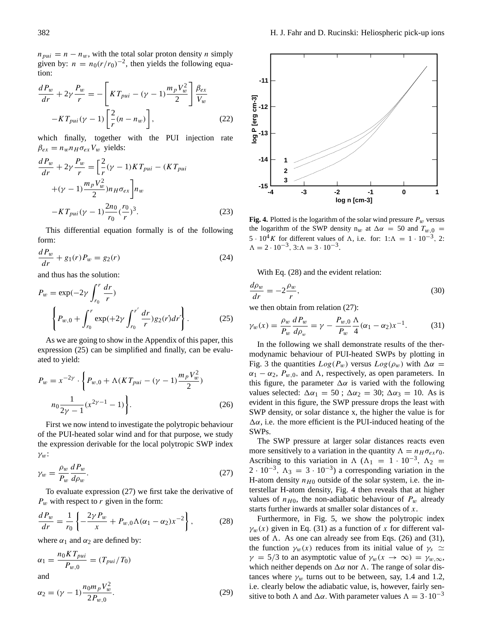$n_{pui} = n - n_w$ , with the total solar proton density n simply given by:  $n = n_0 (r/r_0)^{-2}$ , then yields the following equation:

$$
\frac{dP_w}{dr} + 2\gamma \frac{P_w}{r} = -\left[KT_{pui} - (\gamma - 1)\frac{m_p V_w^2}{2}\right] \frac{\beta_{ex}}{V_w}
$$

$$
-KT_{pui}(\gamma - 1)\left[\frac{2}{r}(n - n_w)\right],
$$
(22)

which finally, together with the PUI injection rate  $\beta_{ex} = n_w n_H \sigma_{ex} V_w$  yields:

$$
\frac{dP_w}{dr} + 2\gamma \frac{P_w}{r} = \left[\frac{2}{r}(\gamma - 1)KT_{pui} - (KT_{pui}) + (\gamma - 1)\frac{m_pV_w^2}{2}m_H\sigma_{ex}\right]n_w
$$

$$
-KT_{pui}(\gamma - 1)\frac{2n_0}{r_0}(\frac{r_0}{r})^3.
$$
(23)

This differential equation formally is of the following form:

$$
\frac{dP_w}{dr} + g_1(r)P_w = g_2(r)
$$
\n(24)

and thus has the solution:

$$
P_w = \exp(-2\gamma \int_{r_0}^r \frac{dr}{r})
$$
  

$$
\left\{ P_{w,0} + \int_{r_0}^r \exp(+2\gamma \int_{r_0}^{r'} \frac{dr}{r}) g_2(r) dr' \right\}.
$$
 (25)

As we are going to show in the Appendix of this paper, this expression (25) can be simplified and finally, can be evaluated to yield:

$$
P_w = x^{-2\gamma} \cdot \left\{ P_{w,0} + \Lambda (KT_{pui} - (\gamma - 1) \frac{m_p V_w^2}{2}) \right\}
$$

$$
n_0 \frac{1}{2\gamma - 1} (x^{2\gamma - 1} - 1) \Big\}.
$$
 (26)

First we now intend to investigate the polytropic behaviour of the PUI-heated solar wind and for that purpose, we study the expression derivable for the local polytropic SWP index  $\gamma_w$ :

$$
\gamma_w = \frac{\rho_w}{P_w} \frac{dP_w}{d\rho_w}.\tag{27}
$$

To evaluate expression (27) we first take the derivative of  $P_w$  with respect to r given in the form:

$$
\frac{dP_w}{dr} = \frac{1}{r_0} \left\{ -\frac{2\gamma P_w}{x} + P_{w,0} \Lambda (\alpha_1 - \alpha_2) x^{-2} \right\},\tag{28}
$$

where  $\alpha_1$  and  $\alpha_2$  are defined by:

 $2P_{w,0}$ 

$$
\alpha_1 = \frac{n_0 K T_{pui}}{P_{w,0}} = (T_{pui}/T_0)
$$
  
and  

$$
\alpha_2 = (\gamma - 1) \frac{n_0 m_p V_w^2}{2 R}.
$$
 (29)

382 H. J. Fahr and D. Rucinski: Heliospheric pick-up ions **-11** log P [erg cm-3] **log P [erg cm-3] -12 -13 -14 1 2 3 -15 -4 -3 -2 -1 0 1**

**Fig. 4.** Plotted is the logarithm of the solar wind pressure  $P_w$  versus the logarithm of the SWP density  $n_w$  at  $\Delta \alpha = 50$  and  $T_{w,0}$  = 5 · 10<sup>4</sup>K for different values of  $\Lambda$ , i.e. for: 1: $\Lambda = 1 \cdot 10^{-3}$ , 2:  $\Lambda = 2 \cdot 10^{-3}$ ,  $3:\Lambda = 3 \cdot 10^{-3}$ .

**log n [cm-3]**

With Eq. (28) and the evident relation:

$$
\frac{d\rho_w}{dr} = -2\frac{\rho_w}{r},\tag{30}
$$

we then obtain from relation (27):

$$
\gamma_w(x) = \frac{\rho_w}{P_w} \frac{dP_w}{d\rho_w} = \gamma - \frac{P_{w,0}}{P_w} \frac{\Lambda}{4} (\alpha_1 - \alpha_2) x^{-1}.
$$
 (31)

In the following we shall demonstrate results of the thermodynamic behaviour of PUI-heated SWPs by plotting in Fig. 3 the quantities  $Log(P_w)$  versus  $Log(\rho_w)$  with  $\Delta \alpha$  =  $\alpha_1 - \alpha_2$ ,  $P_{w,0}$ , and  $\Lambda$ , respectively, as open parameters. In this figure, the parameter  $\Delta \alpha$  is varied with the following values selected:  $\Delta \alpha_1 = 50$ ;  $\Delta \alpha_2 = 30$ ;  $\Delta \alpha_3 = 10$ . As is evident in this figure, the SWP pressure drops the least with SWP density, or solar distance x, the higher the value is for  $\Delta \alpha$ , i.e. the more efficient is the PUI-induced heating of the SWPs.

The SWP pressure at larger solar distances reacts even more sensitively to a variation in the quantity  $\Lambda = n_H \sigma_{ex} r_0$ . Ascribing to this variation in  $\Lambda$  ( $\Lambda_1 = 1 \cdot 10^{-3}$ ,  $\Lambda_2 =$  $2 \cdot 10^{-3}$ ,  $\Lambda_3 = 3 \cdot 10^{-3}$ ) a corresponding variation in the H-atom density  $n_{H0}$  outside of the solar system, i.e. the interstellar H-atom density, Fig. 4 then reveals that at higher values of  $n_{H0}$ , the non-adiabatic behaviour of  $P_w$  already starts further inwards at smaller solar distances of x.

Furthermore, in Fig. 5, we show the polytropic index  $\gamma_w(x)$  given in Eq. (31) as a function of x for different values of  $\Lambda$ . As one can already see from Eqs. (26) and (31), the function  $\gamma_w(x)$  reduces from its initial value of  $\gamma_s \simeq$  $\gamma = 5/3$  to an asymptotic value of  $\gamma_w(x \to \infty) = \gamma_{w,\infty}$ , which neither depends on  $\Delta \alpha$  nor  $\Lambda$ . The range of solar distances where  $\gamma_w$  turns out to be between, say, 1.4 and 1.2, i.e. clearly below the adiabatic value, is, however, fairly sensitive to both  $\Lambda$  and  $\Delta \alpha$ . With parameter values  $\Lambda = 3 \cdot 10^{-3}$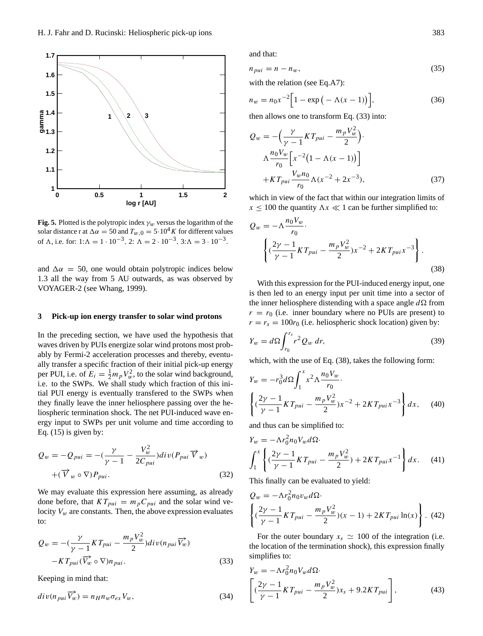

**Fig. 5.** Plotted is the polytropic index  $\gamma_w$  versus the logarithm of the solar distance r at  $\Delta \alpha = 50$  and  $T_{w,0} = 5 \cdot 10^4 K$  for different values of  $\Lambda$ , i.e. for:  $1:\Lambda = 1 \cdot 10^{-3}$ ,  $2:\Lambda = 2 \cdot 10^{-3}$ ,  $3:\Lambda = 3 \cdot 10^{-3}$ .

and  $\Delta \alpha = 50$ , one would obtain polytropic indices below 1.3 all the way from 5 AU outwards, as was observed by VOYAGER-2 (see Whang, 1999).

#### **3 Pick-up ion energy transfer to solar wind protons**

In the preceding section, we have used the hypothesis that waves driven by PUIs energize solar wind protons most probably by Fermi-2 acceleration processes and thereby, eventually transfer a specific fraction of their initial pick-up energy per PUI, i.e. of  $E_i = \frac{1}{2} m_p V_w^2$ , to the solar wind background, i.e. to the SWPs. We shall study which fraction of this initial PUI energy is eventually transfered to the SWPs when they finally leave the inner heliosphere passing over the heliospheric termination shock. The net PUI-induced wave energy input to SWPs per unit volume and time according to Eq.  $(15)$  is given by:

$$
Q_w = -Q_{pui} = -\left(\frac{\gamma}{\gamma - 1} - \frac{V_w^2}{2C_{pui}}\right)div(P_{pui}\overrightarrow{V}_w)
$$
  
 
$$
+(\overrightarrow{V}_w \circ \nabla)P_{pui}.
$$
 (32)

We may evaluate this expression here assuming, as already done before, that  $KT_{pui} = m_pC_{pui}$  and the solar wind velocity  $V_w$  are constants. Then, the above expression evaluates to:

$$
Q_w = -\left(\frac{\gamma}{\gamma - 1}KT_{pui} - \frac{m_pV_w^2}{2}\right)div(n_{pui}\overrightarrow{V_w}) - KT_{pui}(\overrightarrow{V_w} \circ \nabla)n_{pui}.
$$
\n(33)

Keeping in mind that:

$$
div(n_{pui}\overrightarrow{V_w}) = n_H n_w \sigma_{ex} V_w, \qquad (34)
$$

and that:

$$
n_{pui} = n - n_w,\tag{35}
$$

with the relation (see Eq.A7):

$$
n_w = n_0 x^{-2} \Big[ 1 - \exp\left(-\Lambda(x-1)\right) \Big],\tag{36}
$$

then allows one to transform Eq. (33) into:

$$
Q_w = -\left(\frac{\gamma}{\gamma - 1}KT_{pui} - \frac{m_pV_w^2}{2}\right).
$$
  

$$
\Lambda \frac{n_0V_w}{r_0} \left[x^{-2}\left(1 - \Lambda(x - 1)\right)\right]
$$
  
+
$$
KT_{pui}\frac{V_w n_0}{r_0}\Lambda(x^{-2} + 2x^{-3}),
$$
 (37)

which in view of the fact that within our integration limits of  $x \le 100$  the quantity  $\Delta x \ll 1$  can be further simplified to:

$$
Q_w = -\Lambda \frac{n_0 V_w}{r_0} \cdot \left\{ \left( \frac{2\gamma - 1}{\gamma - 1} K T_{pui} - \frac{m_p V_w^2}{2} \right) x^{-2} + 2K T_{pui} x^{-3} \right\} \cdot \tag{38}
$$

With this expression for the PUI-induced energy input, one is then led to an energy input per unit time into a sector of the inner heliosphere distending with a space angle  $d\Omega$  from  $r = r_0$  (i.e. inner boundary where no PUIs are present) to  $r = r_s = 100r_0$  (i.e. heliospheric shock location) given by:

$$
Y_w = d\Omega \int_{r_0}^{r_s} r^2 Q_w dr, \qquad (39)
$$

which, with the use of Eq. (38), takes the following form:

$$
Y_w = -r_0^3 d\Omega \int_1^x x^2 \Lambda \frac{n_0 V_w}{r_0}.
$$
  

$$
\left\{ \left( \frac{2\gamma - 1}{\gamma - 1} K T_{pui} - \frac{m_p V_w^2}{2} \right) x^{-2} + 2K T_{pui} x^{-3} \right\} dx, \quad (40)
$$

and thus can be simplified to:

$$
Y_w = -\Lambda r_0^2 n_0 V_w d\Omega.
$$
  

$$
\int_1^x \left\{ \left( \frac{2\gamma - 1}{\gamma - 1} K T_{pui} - \frac{m_p V_w^2}{2} \right) + 2K T_{pui} x^{-1} \right\} dx.
$$
 (41)

This finally can be evaluated to yield:

$$
Q_w = -\Lambda r_0^2 n_0 v_w d\Omega.
$$
  

$$
\left\{ (\frac{2\gamma - 1}{\gamma - 1} K T_{pui} - \frac{m_p V_w^2}{2})(x - 1) + 2K T_{pui} \ln(x) \right\}.
$$
 (42)

For the outer boundary  $x_s \approx 100$  of the integration (i.e. the location of the termination shock), this expression finally simplifies to:

$$
Y_w = -\Lambda r_0^2 n_0 V_w d\Omega.
$$
  

$$
\left[ (\frac{2\gamma - 1}{\gamma - 1} K T_{pui} - \frac{m_p V_w^2}{2}) x_s + 9.2 K T_{pui} \right],
$$
 (43)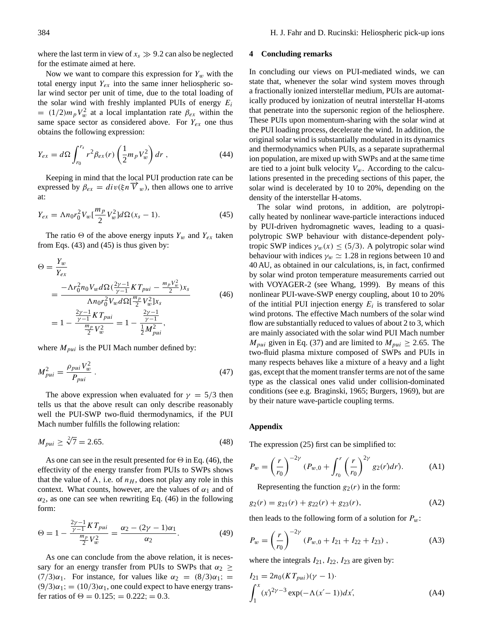where the last term in view of  $x_s \gg 9.2$  can also be neglected for the estimate aimed at here.

Now we want to compare this expression for  $Y_w$  with the total energy input  $Y_{ex}$  into the same inner heliospheric solar wind sector per unit of time, due to the total loading of the solar wind with freshly implanted PUIs of energy  $E_i$  $= (1/2)m_pV_w^2$  at a local implantation rate  $\beta_{ex}$  within the same space sector as considered above. For  $Y_{ex}$  one thus obtains the following expression:

$$
Y_{ex} = d\Omega \int_{r_0}^{r_s} r^2 \beta_{ex}(r) \left(\frac{1}{2} m_p V_w^2\right) dr , \qquad (44)
$$

Keeping in mind that the local PUI production rate can be expressed by  $\beta_{ex} = div(\xi n \overline{V}_w)$ , then allows one to arrive at:

$$
Y_{ex} = \Lambda n_0 r_0^2 V_w \left[ \frac{m_p}{2} V_w^2 \right] d\Omega (x_s - 1). \tag{45}
$$

The ratio  $\Theta$  of the above energy inputs  $Y_w$  and  $Y_{ex}$  taken from Eqs. (43) and (45) is thus given by:

$$
\Theta = \frac{Y_w}{Y_{ex}}
$$
\n
$$
= \frac{-\Lambda r_0^2 n_0 V_w d\Omega(\frac{2\gamma - 1}{\gamma - 1} K T_{pui} - \frac{m_p V_w^2}{2}) x_s}{\Lambda n_0 r_0^2 V_w d\Omega[\frac{m_p}{2} V_w^2] x_s}
$$
\n
$$
= 1 - \frac{\frac{2\gamma - 1}{\gamma - 1} K T_{pui}}{\frac{m_p}{2} V_w^2} = 1 - \frac{\frac{2\gamma - 1}{\gamma - 1}}{\frac{1}{2} M_{pui}^2},
$$
\n(46)

where  $M_{pui}$  is the PUI Mach number defined by:

$$
M_{pui}^2 = \frac{\rho_{pui} V_w^2}{P_{pui}} \,. \tag{47}
$$

The above expression when evaluated for  $\gamma = 5/3$  then tells us that the above result can only describe reasonably well the PUI-SWP two-fluid thermodynamics, if the PUI Mach number fulfills the following relation:

$$
M_{pui} \ge \sqrt[2]{7} = 2.65. \tag{48}
$$

As one can see in the result presented for  $\Theta$  in Eq. (46), the effectivity of the energy transfer from PUIs to SWPs shows that the value of  $\Lambda$ , i.e. of  $n_H$ , does not play any role in this context. What counts, however, are the values of  $\alpha_1$  and of  $\alpha_2$ , as one can see when rewriting Eq. (46) in the following form:

$$
\Theta = 1 - \frac{\frac{2\gamma - 1}{\gamma - 1}KT_{pui}}{\frac{m_p}{2}V_w^2} = \frac{\alpha_2 - (2\gamma - 1)\alpha_1}{\alpha_2}.
$$
 (49)

As one can conclude from the above relation, it is necessary for an energy transfer from PUIs to SWPs that  $\alpha_2 \geq$ (7/3) $\alpha_1$ . For instance, for values like  $\alpha_2 = (8/3)\alpha_1$ ; =  $(9/3)\alpha_1$ ; =  $(10/3)\alpha_1$ , one could expect to have energy transfer ratios of  $\Theta = 0.125$ ; = 0.222; = 0.3.

#### **4 Concluding remarks**

In concluding our views on PUI-mediated winds, we can state that, whenever the solar wind system moves through a fractionally ionized interstellar medium, PUIs are automatically produced by ionization of neutral interstellar H-atoms that penetrate into the supersonic region of the heliosphere. These PUIs upon momentum-sharing with the solar wind at the PUI loading process, decelerate the wind. In addition, the original solar wind is substantially modulated in its dynamics and thermodynamics when PUIs, as a separate suprathermal ion population, are mixed up with SWPs and at the same time are tied to a joint bulk velocity  $V_w$ . According to the calculations presented in the preceding sections of this paper, the solar wind is decelerated by 10 to 20%, depending on the density of the interstellar H-atoms.

The solar wind protons, in addition, are polytropically heated by nonlinear wave-particle interactions induced by PUI-driven hydromagnetic waves, leading to a quasipolytropic SWP behaviour with distance-dependent polytropic SWP indices  $\gamma_w(x) \leq (5/3)$ . A polytropic solar wind behaviour with indices  $\gamma_w \simeq 1.28$  in regions between 10 and 40 AU, as obtained in our calculations, is, in fact, confirmed by solar wind proton temperature measurements carried out with VOYAGER-2 (see Whang, 1999). By means of this nonlinear PUI-wave-SWP energy coupling, about 10 to 20% of the intitial PUI injection energy  $E_i$  is transferred to solar wind protons. The effective Mach numbers of the solar wind flow are substantially reduced to values of about 2 to 3, which are mainly associated with the solar wind PUI Mach number  $M_{pui}$  given in Eq. (37) and are limited to  $M_{pui} \ge 2.65$ . The two-fluid plasma mixture composed of SWPs and PUIs in many respects behaves like a mixture of a heavy and a light gas, except that the moment transfer terms are not of the same type as the classical ones valid under collision-dominated conditions (see e.g. Braginski, 1965; Burgers, 1969), but are by their nature wave-particle coupling terms.

#### **Appendix**

The expression (25) first can be simplified to:

$$
P_w = \left(\frac{r}{r_0}\right)^{-2\gamma} (P_{w,0} + \int_{r_0}^r \left(\frac{r}{r_0}\right)^{2\gamma} g_2(r) dr). \tag{A1}
$$

Representing the function  $g_2(r)$  in the form:

$$
g_2(r) = g_{21}(r) + g_{22}(r) + g_{23}(r),
$$
 (A2)

then leads to the following form of a solution for  $P_w$ :

$$
P_w = \left(\frac{r}{r_0}\right)^{-2\gamma} (P_{w,0} + I_{21} + I_{22} + I_{23}), \tag{A3}
$$

where the integrals  $I_{21}$ ,  $I_{22}$ ,  $I_{23}$  are given by:

$$
I_{21} = 2n_0(KT_{pui})(\gamma - 1)
$$
  

$$
\int_1^x (x)^{2\gamma - 3} \exp(-\Lambda(x - 1)) dx',
$$
 (A4)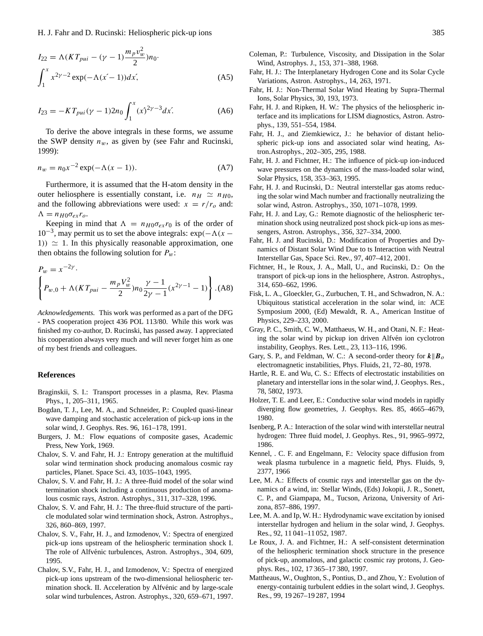$$
I_{22} = \Lambda (KT_{pui} - (\gamma - 1) \frac{m_p v_w^2}{2}) n_0.
$$
  

$$
\int_1^x x^{2\gamma - 2} \exp(-\Lambda (x - 1)) dx,
$$
 (A5)

$$
I_{23} = -KT_{pui}(\gamma - 1)2n_0 \int_1^x (x)^{2\gamma - 3} dx. \tag{A6}
$$

To derive the above integrals in these forms, we assume the SWP density  $n_w$ , as given by (see Fahr and Rucinski, 1999):

$$
n_w = n_0 x^{-2} \exp(-\Lambda(x - 1)).
$$
 (A7)

Furthermore, it is assumed that the H-atom density in the outer heliosphere is essentially constant, i.e.  $n_H \simeq n_{H0}$ , and the following abbreviations were used:  $x = r/r_0$  and:  $\Lambda = n_{H0}\sigma_{ex}r_{o}.$ 

Keeping in mind that  $\Lambda = n_{H0}\sigma_{ex}r_0$  is of the order of  $10^{-3}$ , may permit us to set the above integrals: exp( $-\Lambda(x -$ 1))  $\simeq$  1. In this physically reasonable approximation, one then obtains the following solution for  $P_w$ :

$$
P_w = x^{-2\gamma}.
$$
  

$$
\left\{ P_{w,0} + \Lambda (KT_{pui} - \frac{m_p V_w^2}{2}) n_0 \frac{\gamma - 1}{2\gamma - 1} (x^{2\gamma - 1} - 1) \right\}.
$$
 (A8)

*Acknowledgements.* This work was performed as a part of the DFG - PAS cooperation project 436 POL 113/80. While this work was finished my co-author, D. Rucinski, has passed away. I appreciated his cooperation always very much and will never forget him as one of my best friends and colleagues.

#### **References**

- Braginskii, S. I.: Transport processes in a plasma, Rev. Plasma Phys., 1, 205–311, 1965.
- Bogdan, T. J., Lee, M. A., and Schneider, P.: Coupled quasi-linear wave damping and stochastic acceleration of pick-up ions in the solar wind, J. Geophys. Res. 96, 161–178, 1991.
- Burgers, J. M.: Flow equations of composite gases, Academic Press, New York, 1969.
- Chalov, S. V. and Fahr, H. J.: Entropy generation at the multifluid solar wind termination shock producing anomalous cosmic ray particles, Planet. Space Sci. 43, 1035–1043, 1995.
- Chalov, S. V. and Fahr, H. J.: A three-fluid model of the solar wind termination shock including a continuous production of anomalous cosmic rays, Astron. Astrophys., 311, 317–328, 1996.
- Chalov, S. V. and Fahr, H. J.: The three-fluid structure of the particle modulated solar wind termination shock, Astron. Astrophys., 326, 860–869, 1997.
- Chalov, S. V., Fahr, H. J., and Izmodenov, V.: Spectra of energized pick-up ions upstream of the heliospheric termination shock I. The role of Alfvénic turbulences, Astron. Astrophys., 304, 609, 1995.
- Chalov, S.V., Fahr, H. J., and Izmodenov, V.: Spectra of energized pick-up ions upstream of the two-dimensional heliospheric termination shock. II. Acceleration by Alfvénic and by large-scale solar wind turbulences, Astron. Astrophys., 320, 659–671, 1997.
- Coleman, P.: Turbulence, Viscosity, and Dissipation in the Solar Wind, Astrophys. J., 153, 371–388, 1968.
- Fahr, H. J.: The Interplanetary Hydrogen Cone and its Solar Cycle Variations, Astron. Astrophys., 14, 263, 1971.
- Fahr, H. J.: Non-Thermal Solar Wind Heating by Supra-Thermal Ions, Solar Physics, 30, 193, 1973.
- Fahr, H. J. and Ripken, H. W.: The physics of the heliospheric interface and its implications for LISM diagnostics, Astron. Astrophys., 139, 551–554, 1984.
- Fahr, H. J., and Ziemkiewicz, J.: he behavior of distant heliospheric pick-up ions and associated solar wind heating, Astron.Astrophys., 202–305, 295, 1988.
- Fahr, H. J. and Fichtner, H.: The influence of pick-up ion-induced wave pressures on the dynamics of the mass-loaded solar wind, Solar Physics, 158, 353–363, 1995.
- Fahr, H. J. and Rucinski, D.: Neutral interstellar gas atoms reducing the solar wind Mach number and fractionally neutralizing the solar wind, Astron. Astrophys., 350, 1071–1078, 1999.
- Fahr, H. J. and Lay, G.: Remote diagnostic of the heliospheric termination shock using neutralized post shock pick-up ions as messengers, Astron. Astrophys., 356, 327–334, 2000.
- Fahr, H. J. and Rucinski, D.: Modification of Properties and Dynamics of Distant Solar Wind Due to ts Interaction with Neutral Interstellar Gas, Space Sci. Rev., 97, 407–412, 2001.
- Fichtner, H., le Roux, J. A., Mall, U., and Rucinski, D.: On the transport of pick-up ions in the heliosphere, Astron. Astrophys., 314, 650–662, 1996.
- Fisk, L. A., Gloeckler, G., Zurbuchen, T. H., and Schwadron, N. A.: Ubiquitous statistical acceleration in the solar wind, in: ACE Symposium 2000, (Ed) Mewaldt, R. A., American Institue of Physics, 229–233, 2000.
- Gray, P. C., Smith, C. W., Matthaeus, W. H., and Otani, N. F.: Heating the solar wind by pickup ion driven Alfvén ion cyclotron instability, Geophys. Res. Lett., 23, 113–116, 1996.
- Gary, S. P., and Feldman, W. C.: A second-order theory for  $k||B_0$ electromagnetic instabilities, Phys. Fluids, 21, 72–80, 1978.
- Hartle, R. E. and Wu, C. S.: Effects of electrostatic instabilities on planetary and interstellar ions in the solar wind, J. Geophys. Res., 78, 5802, 1973.
- Holzer, T. E. and Leer, E.: Conductive solar wind models in rapidly diverging flow geometries, J. Geophys. Res. 85, 4665–4679, 1980.
- Isenberg, P. A.: Interaction of the solar wind with interstellar neutral hydrogen: Three fluid model, J. Geophys. Res., 91, 9965–9972, 1986.
- Kennel, . C. F. and Engelmann, F.: Velocity space diffusion from weak plasma turbulence in a magnetic field, Phys. Fluids, 9, 2377, 1966
- Lee, M. A.: Effects of cosmic rays and interstellar gas on the dynamics of a wind, in: Stellar Winds, (Eds) Jokopii, J. R., Sonett, C. P., and Giampapa, M., Tucson, Arizona, University of Arizona, 857–886, 1997.
- Lee, M. A. and Ip, W. H.: Hydrodynamic wave excitation by ionised interstellar hydrogen and helium in the solar wind, J. Geophys. Res., 92, 11 041–11 052, 1987.
- Le Roux, J. A. and Fichtner, H.: A self-consistent determination of the heliospheric termination shock structure in the presence of pick-up, anomalous, and galactic cosmic ray protons, J. Geophys. Res., 102, 17 365–17 380, 1997.
- Mattheaus, W., Oughton, S., Pontius, D., and Zhou, Y.: Evolution of energy-containig turbulent eddies in the solart wind, J. Geophys. Res., 99, 19 267–19 287, 1994